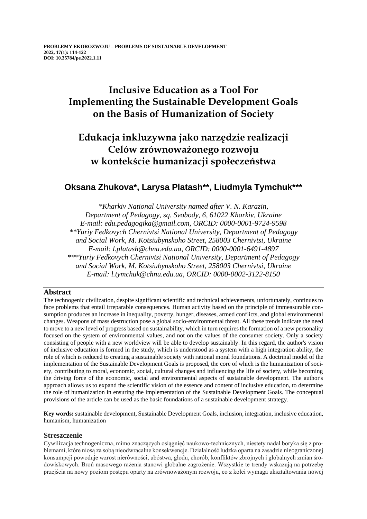# **Inclusive Education as a Tool For Implementing the Sustainable Development Goals on the Basis of Humanization of Society**

# **Edukacja inkluzywna jako narzędzie realizacji Celów zrównoważonego rozwoju w kontekście humanizacji społeczeństwa**

# **Oksana Zhukova\*, Larysa Platash\*\*, Liudmyla Tymchuk\*\*\***

*\*Kharkiv National University named after V. N. Karazin, Department of Pedagogy, sq. Svobody, 6, 61022 Kharkiv, Ukraine E-mail: edu.pedagogika@gmail.com, ORCID: 0000-0001-9724-9598 \*\*Yuriy Fedkovych Chernivtsi National University, Department of Pedagogy and Social Work, M. Kotsiubynskoho Street, 258003 Chernivtsi, Ukraine E-mail: l.platash@chnu.edu.ua, ORCID: 0000-0001-6491-4897 \*\*\*Yuriy Fedkovych Chernivtsi National University, Department of Pedagogy and Social Work, M. Kotsiubynskoho Street, 258003 Chernivtsi, Ukraine E-mail: l.tymchuk@chnu.edu.ua, ORCID: 0000-0002-3122-8150*

## **Abstract**

The technogenic civilization, despite significant scientific and technical achievements, unfortunately, continues to face problems that entail irreparable consequences. Human activity based on the principle of immeasurable consumption produces an increase in inequality, poverty, hunger, diseases, armed conflicts, and global environmental changes. Weapons of mass destruction pose a global socio-environmental threat. All these trends indicate the need to move to a new level of progress based on sustainability, which in turn requires the formation of a new personality focused on the system of environmental values, and not on the values of the consumer society. Only a society consisting of people with a new worldview will be able to develop sustainably. In this regard, the author's vision of inclusive education is formed in the study, which is understood as a system with a high integration ability, the role of which is reduced to creating a sustainable society with rational moral foundations. A doctrinal model of the implementation of the Sustainable Development Goals is proposed, the core of which is the humanization of society, contributing to moral, economic, social, cultural changes and influencing the life of society, while becoming the driving force of the economic, social and environmental aspects of sustainable development. The author's approach allows us to expand the scientific vision of the essence and content of inclusive education, to determine the role of humanization in ensuring the implementation of the Sustainable Development Goals. The conceptual provisions of the article can be used as the basic foundations of a sustainable development strategy.

**Key words:** sustainable development, Sustainable Development Goals, inclusion, integration, inclusive education, humanism, humanization

#### **Streszczenie**

Cywilizacja technogeniczna, mimo znaczących osiągnięć naukowo-technicznych, niestety nadal boryka się z problemami, które niosą za sobą nieodwracalne konsekwencje. Działalność ludzka oparta na zasadzie nieograniczonej konsumpcji powoduje wzrost nierówności, ubóstwa, głodu, chorób, konfliktów zbrojnych i globalnych zmian środowiskowych. Broń masowego rażenia stanowi globalne zagrożenie. Wszystkie te trendy wskazują na potrzebę przejścia na nowy poziom postępu oparty na zrównoważonym rozwoju, co z kolei wymaga ukształtowania nowej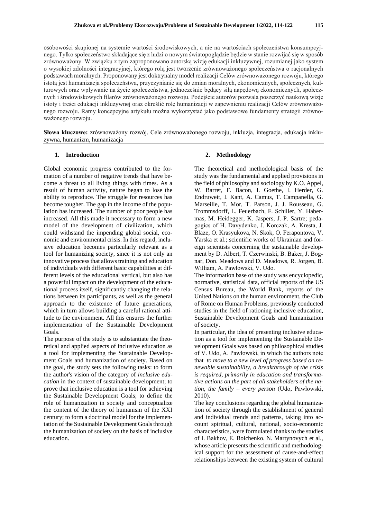osobowości skupionej na systemie wartości środowiskowych, a nie na wartościach społeczeństwa konsumpcyjnego. Tylko społeczeństwo składające się z ludzi o nowym światopoglądzie będzie w stanie rozwijać się w sposób zrównoważony. W związku z tym zaproponowano autorską wizję edukacji inkluzywnej, rozumianej jako system o wysokiej zdolności integracyjnej, którego rolą jest tworzenie zrównoważonego społeczeństwa o racjonalnych podstawach moralnych. Proponowany jest doktrynalny model realizacji Celów zrównoważonego rozwoju, którego istotą jest humanizacja społeczeństwa, przyczynianie się do zmian moralnych, ekonomicznych, społecznych, kulturowych oraz wpływanie na życie społeczeństwa, jednocześnie będący siłą napędową ekonomicznych, społecznych i środowiskowych filarów zrównoważonego rozwoju. Podejście autorów pozwala poszerzyć naukową wizję istoty i treści edukacji inkluzywnej oraz określić rolę humanizacji w zapewnieniu realizacji Celów zrównoważonego rozwoju. Ramy koncepcyjne artykułu można wykorzystać jako podstawowe fundamenty strategii zrównoważonego rozwoju.

**Słowa kluczowe:** zrównoważony rozwój, Cele zrównoważonego rozwoju, inkluzja, integracja, edukacja inkluzywna, humanizm, humanizacja

#### **1. Introduction**

Global economic progress contributed to the formation of a number of negative trends that have become a threat to all living things with times. As a result of human activity, nature began to lose the ability to reproduce. The struggle for resources has become tougher. The gap in the income of the population has increased. The number of poor people has increased. All this made it necessary to form a new model of the development of civilization, which could withstand the impending global social, economic and environmental crisis. In this regard, inclusive education becomes particularly relevant as a tool for humanizing society, since it is not only an innovative process that allows training and education of individuals with different basic capabilities at different levels of the educational vertical, but also has a powerful impact on the development of the educational process itself, significantly changing the relations between its participants, as well as the general approach to the existence of future generations, which in turn allows building a careful rational attitude to the environment. All this ensures the further implementation of the Sustainable Development Goals.

The purpose of the study is to substantiate the theoretical and applied aspects of inclusive education as a tool for implementing the Sustainable Development Goals and humanization of society. Based on the goal, the study sets the following tasks: to form the author's vision of the category of *inclusive education* in the context of sustainable development; to prove that inclusive education is a tool for achieving the Sustainable Development Goals; to define the role of humanization in society and conceptualize the content of the theory of humanism of the XXI century; to form a doctrinal model for the implementation of the Sustainable Development Goals through the humanization of society on the basis of inclusive education.

### **2. Methodology**

The theoretical and methodological basis of the study was the fundamental and applied provisions in the field of philosophy and sociology by K.O. Appel, W. Barret, F. Bacon, I. Goethe, I. Herder, G. Endruweit, I. Kant, A. Camus, T. Campanella, G. Marseille, T. Mor, T. Parson, J. J. Rousseau, G. Trommsdorff, L. Feuerbach, F. Schiller, Y. Habermas, M. Heidegger, K. Jaspers, J.-P. Sartre; pedagogics of H. Davydenko, J. Korczak, А. Kresta, J. Blaze, O. Krasyukova, N. Skok, O. Ferapontova, V. Yarska et al.; scientific works of Ukrainian and foreign scientists concerning the sustainable development by D. Albert, T. Czerwinski, В. Baker, J. Bognar, Don. Meadows and D. Meadows, R. Jorgen, B. William, A. Pawłowski, V. Udo.

The information base of the study was encyclopedic, normative, statistical data, official reports of the US Census Bureau, the World Bank, reports of the United Nations on the human environment, the Club of Rome on Human Problems, previously conducted studies in the field of rationing inclusive education, Sustainable Development Goals and humanization of society.

In particular, the idea of presenting inclusive education as a tool for implementing the Sustainable Development Goals was based on philosophical studies of V. Udo, A. Pawłowski, in which the authors note that *to move to a new level of progress based on renewable sustainability, a breakthrough of the crisis is required, primarily in education and transformative actions on the part of all stakeholders of the nation, the family – every person* (Udo, Pawłowski, 2010).

The key conclusions regarding the global humanization of society through the establishment of general and individual trends and patterns, taking into account spiritual, cultural, national, socio-economic characteristics, were formulated thanks to the studies of I. Bakhov, E. Boichenko. N. Martynovych et al., whose article presents the scientific and methodological support for the assessment of cause-and-effect relationships between the existing system of cultural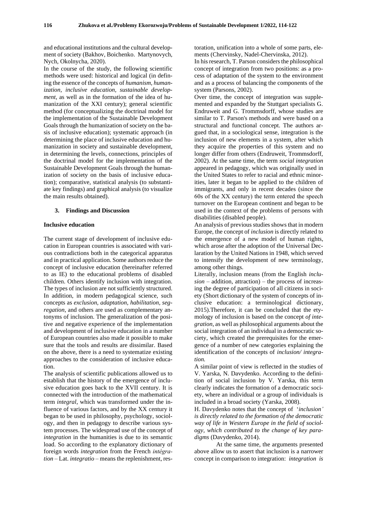and educational institutions and the cultural development of society (Bakhov, Boichenko. Martynovych, Nych, Okolnycha, 2020).

In the course of the study, the following scientific methods were used: historical and logical (in defining the essence of the concepts of *humanism, humanization, inclusive education, sustainable development*, as well as in the formation of the idea of humanization of the XXI century); general scientific method (for conceptualizing the doctrinal model for the implementation of the Sustainable Development Goals through the humanization of society on the basis of inclusive education); systematic approach (in determining the place of inclusive education and humanization in society and sustainable development, in determining the levels, connections, principles of the doctrinal model for the implementation of the Sustainable Development Goals through the humanization of society on the basis of inclusive education); comparative, statistical analysis (to substantiate key findings) and graphical analysis (to visualize the main results obtained).

#### **3. Findings and Discussion**

#### **Inclusive education**

The current stage of development of inclusive education in European countries is associated with various contradictions both in the categorical apparatus and in practical application. Some authors reduce the concept of inclusive education (hereinafter referred to as IE) to the educational problems of disabled children. Others identify inclusion with integration. The types of inclusion are not sufficiently structured. In addition, in modern pedagogical science, such concepts as *exclusion, adaptation, habilitation, segregation*, and others are used as complementary antonyms of inclusion. The generalization of the positive and negative experience of the implementation and development of inclusive education in a number of European countries also made it possible to make sure that the tools and results are dissimilar. Based on the above, there is a need to systematize existing approaches to the consideration of inclusive education.

The analysis of scientific publications allowed us to establish that the history of the emergence of inclusive education goes back to the XVII century. It is connected with the introduction of the mathematical term *integral*, which was transformed under the influence of various factors, and by the XX century it began to be used in philosophy, psychology, sociology, and then in pedagogy to describe various system processes. The widespread use of the concept of *integration* in the humanities is due to its semantic load. So according to the explanatory dictionary of foreign words *integration* from the French *intégration* – Lat. *integratio* – means the replenishment, restoration, unification into a whole of some parts, elements (Chervinsky, Nadel-Chervinska, 2012).

In his research, T. Parson considers the philosophical concept of integration from two positions: as a process of adaptation of the system to the environment and as a process of balancing the components of the system (Parsons, 2002).

Over time, the concept of integration was supplemented and expanded by the Stuttgart specialists G. Endruweit and G. Trommsdorff, whose studies are similar to T. Parson's methods and were based on a structural and functional concept. The authors argued that, in a sociological sense, integration is the inclusion of new elements in a system, after which they acquire the properties of this system and no longer differ from others (Endruweit, Trommsdorff, 2002). At the same time, the term *social integration* appeared in pedagogy, which was originally used in the United States to refer to racial and ethnic minorities, later it began to be applied to the children of immigrants, and only in recent decades (since the 60s of the ХХ century) the term entered the speech turnover on the European continent and began to be used in the context of the problems of persons with disabilities (disabled people).

An analysis of previous studies shows that in modern Europe, the concept of *inclusion* is directly related to the emergence of a new model of human rights, which arose after the adoption of the Universal Declaration by the United Nations in 1948, which served to intensify the development of new terminology, among other things.

Literally, inclusion means (from the English *inclusion* – addition, attraction) – the process of increasing the degree of participation of all citizens in society (Short dictionary of the system of concepts of inclusive education: a terminological dictionary, 2015).Therefore, it can be concluded that the etymology of inclusion is based on the concept *of integration*, as well as philosophical arguments about the social integration of an individual in a democratic society, which created the prerequisites for the emergence of a number of new categories explaining the identification of the concepts of *inclusion/ integration.*

A similar point of view is reflected in the studies of V. Yarska, N. Davydenko. According to the definition of social inclusion by V. Yarska, this term clearly indicates the formation of a democratic society, where an individual or a group of individuals is included in a broad society (Yarska, 2008).

H. Davydenko notes that the concept of '*inclusion' is directly related to the formation of the democratic way of life in Western Europe in the field of sociology, which contributed to the change of key paradigms* (Davydenko, 2014).

At the same time, the arguments presented above allow us to assert that inclusion is a narrower concept in comparison to integration: *integration is*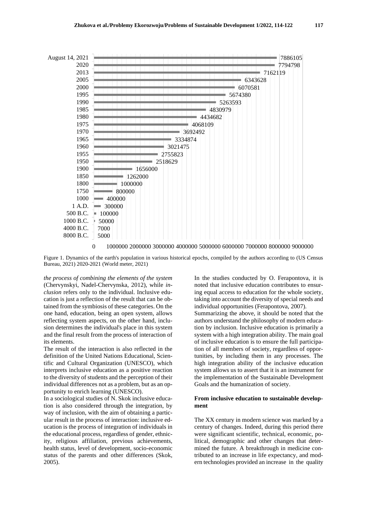

Figure 1. Dynamics of the earth's population in various historical epochs, compiled by the authors according to (US Census Bureau, 2021) 2020-2021 (World meter, 2021)

*the process of combining the elements of the system* (Chervynskyi, Nadel-Chervynska, 2012), while *inclusion* refers only to the individual. Inclusive education is just a reflection of the result that can be obtained from the symbiosis of these categories. On the one hand, education, being an open system, allows reflecting system aspects, on the other hand, inclusion determines the individual's place in this system and the final result from the process of interaction of its elements.

The result of the interaction is also reflected in the definition of the United Nations Educational, Scientific and Cultural Organization (UNESCO), which interprets inclusive education as a positive reaction to the diversity of students and the perception of their individual differences not as a problem, but as an opportunity to enrich learning (UNESCO).

In a sociological studies of N. Skok inclusive education is also considered through the integration, by way of inclusion, with the aim of obtaining a particular result in the process of interaction: inclusive education is the process of integration of individuals in the educational process, regardless of gender, ethnicity, religious affiliation, previous achievements, health status, level of development, socio-economic status of the parents and other differences (Skok, 2005).

In the studies conducted by O. Ferapontova, it is noted that inclusive education contributes to ensuring equal access to education for the whole society, taking into account the diversity of special needs and individual opportunities (Ferapontova, 2007). Summarizing the above, it should be noted that the authors understand the philosophy of modern education by inclusion. Inclusive education is primarily a system with a high integration ability. The main goal of inclusive education is to ensure the full participation of all members of society, regardless of opportunities, by including them in any processes. The high integration ability of the inclusive education system allows us to assert that it is an instrument for the implementation of the Sustainable Development Goals and the humanization of society.

#### **From inclusive education to sustainable development**

The XX century in modern science was marked by a century of changes. Indeed, during this period there were significant scientific, technical, economic, political, demographic and other changes that determined the future. A breakthrough in medicine contributed to an increase in life expectancy, and modern technologies provided an increase in the quality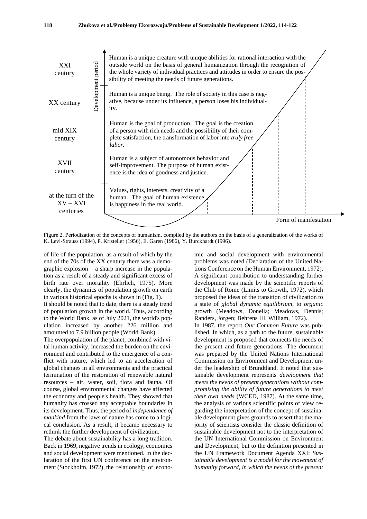

Figure 2. Periodization of the concepts of humanism, compiled by the authors on the basis of a generalization of the works of K. Levi-Strauss (1994), P. Kristeller (1956), E. Garen (1986), Y. Burckhardt (1996).

of life of the population, as a result of which by the end of the 70s of the XX century there was a demographic explosion – a sharp increase in the population as a result of a steady and significant excess of birth rate over mortality (Ehrlich, 1975). More clearly, the dynamics of population growth on earth in various historical epochs is shown in (Fig. 1).

It should be noted that to date, there is a steady trend of population growth in the world. Thus, according to the World Bank, as of July 2021, the world's population increased by another 226 million and amounted to 7.9 billion people (World Bank).

The overpopulation of the planet, combined with vital human activity, increased the burden on the environment and contributed to the emergence of a conflict with nature, which led to an acceleration of global changes in all environments and the practical termination of the restoration of renewable natural resources – air, water, soil, flora and fauna. Of course, global environmental changes have affected the economy and people's health. They showed that humanity has crossed any acceptable boundaries in its development. Thus, the period of *independence of mankind* from the laws of nature has come to a logical conclusion. As a result, it became necessary to rethink the further development of civilization.

The debate about sustainability has a long tradition. Back in 1969, negative trends in ecology, economics and social development were mentioned. In the declaration of the first UN conference on the environment (Stockholm, 1972), the relationship of econo-

mic and social development with environmental problems was noted (Declaration of the United Nations Conference on the Human Environment, 1972). A significant contribution to understanding further development was made by the scientific reports of the Club of Rome (Limits to Growth, 1972), which proposed the ideas of the transition of civilization to a state of *global dynamic equilibrium*, to *organic* growth (Meadows, Donella; Meadows, Dennis; Randers, Jorgen; Behrens III, William, 1972).

In 1987, the report *Our Common Future* was published. In which, as a path to the future, sustainable development is proposed that connects the needs of the present and future generations. The document was prepared by the United Nations International Commission on Environment and Development under the leadership of Brundtland. It noted that sustainable development represents *development that meets the needs of present generations without compromising the ability of future generations to meet their own needs* (WCED, 1987). At the same time, the analysis of various scientific points of view regarding the interpretation of the concept of sustainable development gives grounds to assert that the majority of scientists consider the classic definition of sustainable development not to the interpretation of the UN International Commission on Environment and Development, but to the definition presented in the UN Framework Document Agenda XXI: *Sustainable development is a model for the movement of humanity forward, in which the needs of the present*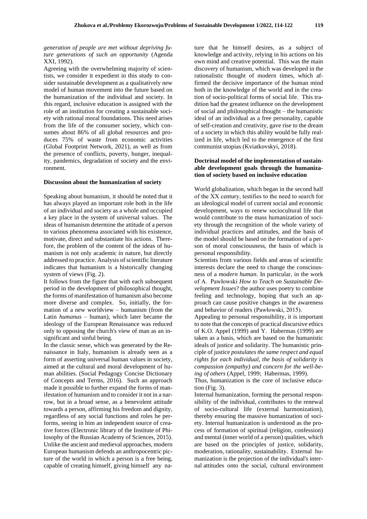*generation of people are met without depriving future generations of such an opportunity* (Agenda XXI, 1992).

Agreeing with the overwhelming majority of scientists, we consider it expedient in this study to consider sustainable development as a qualitatively new model of human movement into the future based on the humanization of the individual and society. In this regard, inclusive education is assigned with the role of an institution for creating a sustainable society with rational moral foundations. This need arises from the life of the consumer society, which consumes about 86% of all global resources and produces 75% of waste from economic activities (Global Footprint Network, 2021), as well as from the presence of conflicts, poverty, hunger, inequality, pandemics, degradation of society and the environment.

#### **Discussion about the humanization of society**

Speaking about humanism, it should be noted that it has always played an important role both in the life of an individual and society as a whole and occupied a key place in the system of universal values. The ideas of humanism determine the attitude of a person to various phenomena associated with his existence, motivate, direct and substantiate his actions. Therefore, the problem of the content of the ideas of humanism is not only academic in nature, but directly addressed to practice. Analysis of scientific literature indicates that humanism is a historically changing system of views (Fig. 2).

It follows from the figure that with each subsequent period in the development of philosophical thought, the forms of manifestation of humanism also become more diverse and complex. So, initially, the formation of a new worldview – humanism (from the Latin *humanus* – human), which later became the ideology of the European Renaissance was reduced only to opposing the church's view of man as an insignificant and sinful being.

In the classic sense, which was generated by the Renaissance in Italy, humanism is already seen as a form of asserting universal human values in society, aimed at the cultural and moral development of human abilities. (Social Pedagogy Concise Dictionary of Concepts and Terms, 2016). Such an approach made it possible to further expand the forms of manifestation of humanism and to consider it not in a narrow, but in a broad sense, as a benevolent attitude towards a person, affirming his freedom and dignity, regardless of any social functions and roles he performs, seeing in him an independent source of creative forces (Electronic library of the Institute of Philosophy of the Russian Academy of Sciences, 2015). Unlike the ancient and medieval approaches, modern European humanism defends an anthropocentric picture of the world in which a person is a free being, capable of creating himself, giving himself any na-

ture that he himself desires, as a subject of knowledge and activity, relying in his actions on his own mind and creative potential. This was the main discovery of humanism, which was developed in the rationalistic thought of modern times, which affirmed the decisive importance of the human mind both in the knowledge of the world and in the creation of socio-political forms of social life. This tradition had the greatest influence on the development of social and philosophical thought – the humanistic ideal of an individual as a free personality, capable of self-creation and creativity, gave rise to the dream of a society in which this ability would be fully realized in life, which led to the emergence of the first communist utopias (Kviatkovskyi, 2018).

### **Doctrinal model of the implementation of sustainable development goals through the humanization of society based on inclusive education**

World globalization, which began in the second half of the ХХ century, testifies to the need to search for an ideological model of current social and economic development, ways to renew sociocultural life that would contribute to the mass humanization of society through the recognition of the whole variety of individual practices and attitudes, and the basis of the model should be based on the formation of a person of moral consciousness, the basis of which is personal responsibility.

Scientists from various fields and areas of scientific interests declare the need to change the consciousness of a *modern human*. In particular, in the work of A. Pawłowski *How to Teach on Sustainable Development Issues*? the author uses poetry to combine feeling and technology, hoping that such an approach can cause positive changes in the awareness and behavior of readers (Pawłowski, 2015).

Appealing to personal responsibility, it is important to note that the concepts of practical discursive ethics of K.O. Appel (1999) and Y. Habermas (1999) are taken as a basis, which are based on the humanistic ideals of justice and solidarity. The humanistic principle of justice *postulates the same respect and equal rights for each individual, the basis of solidarity is compassion (empathy) and concern for the well-being of others* (Appel, 1999; Habermas, 1999).

Thus, humanization is the core of inclusive education (Fig. 3).

Internal humanization, forming the personal responsibility of the individual, contributes to the renewal of socio-cultural life (external harmonization), thereby ensuring the massive humanization of society. Internal humanization is understood as the process of formation of spiritual (religion, confession) and mental (inner world of a person) qualities, which are based on the principles of justice, solidarity, moderation, rationality, sustainability. External humanization is the projection of the individual's internal attitudes onto the social, cultural environment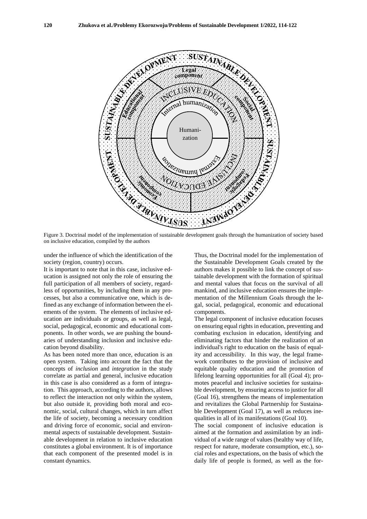

on inclusive education, compiled by the authors

under the influence of which the identification of the society (region, country) occurs.

It is important to note that in this case, inclusive education is assigned not only the role of ensuring the full participation of all members of society, regardless of opportunities, by including them in any processes, but also a communicative one, which is defined as any exchange of information between the elements of the system. The elements of inclusive education are individuals or groups, as well as legal, social, pedagogical, economic and educational components. In other words, we are pushing the boundaries of understanding inclusion and inclusive education beyond disability.

As has been noted more than once, education is an open system. Taking into account the fact that the concepts of *inclusion* and *integration* in the study correlate as partial and general, inclusive education in this case is also considered as a form of integration. This approach, according to the authors, allows to reflect the interaction not only within the system, but also outside it, providing both moral and economic, social, cultural changes, which in turn affect the life of society, becoming a necessary condition and driving force of economic, social and environmental aspects of sustainable development. Sustainable development in relation to inclusive education constitutes a global environment. It is of importance that each component of the presented model is in constant dynamics.

Thus, the Doctrinal model for the implementation of the Sustainable Development Goals created by the authors makes it possible to link the concept of sustainable development with the formation of spiritual and mental values that focus on the survival of all mankind, and inclusive education ensures the implementation of the Millennium Goals through the legal, social, pedagogical, economic and educational components.

The legal component of inclusive education focuses on ensuring equal rights in education, preventing and combating exclusion in education, identifying and eliminating factors that hinder the realization of an individual's right to education on the basis of equality and accessibility. In this way, the legal framework contributes to the provision of inclusive and equitable quality education and the promotion of lifelong learning opportunities for all (Goal 4); promotes peaceful and inclusive societies for sustainable development, by ensuring access to justice for all (Goal 16), strengthens the means of implementation and revitalizes the Global Partnership for Sustainable Development (Goal 17), as well as reduces inequalities in all of its manifestations (Goal 10).

The social component of inclusive education is aimed at the formation and assimilation by an individual of a wide range of values (healthy way of life, respect for nature, moderate consumption, etc.), social roles and expectations, on the basis of which the daily life of people is formed, as well as the for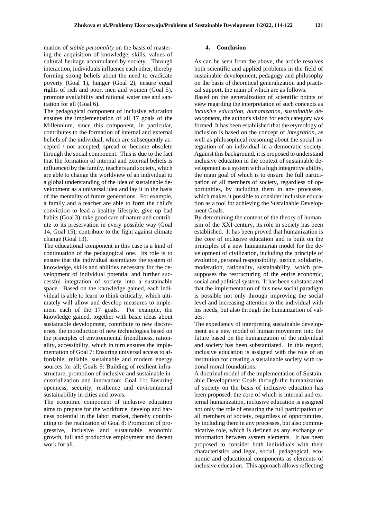mation of *stable personality* on the basis of mastering the acquisition of knowledge, skills, values of cultural heritage accumulated by society. Through interaction, individuals influence each other, thereby forming strong beliefs about the need to eradicate poverty (Goal 1), hunger (Goal 2), ensure equal rights of rich and poor, men and women (Goal 5), promote availability and rational water use and sanitation for all (Goal 6).

The pedagogical component of inclusive education ensures the implementation of all 17 goals of the Millennium, since this component, in particular, contributes to the formation of internal and external beliefs of the individual, which are subsequently accepted / not accepted, spread or become obsolete through the social component. This is due to the fact that the formation of internal and external beliefs is influenced by the family, teachers and society, which are able to change the worldview of an individual to a global understanding of the idea of sustainable development as a universal idea and lay it in the basis of the mentality of future generations. For example, a family and a teacher are able to form the child's conviction to lead a healthy lifestyle, give up bad habits (Goal 3), take good care of nature and contribute to its preservation in every possible way (Goal 14, Goal 15), contribute to the fight against climate change (Goal 13).

The educational component in this case is a kind of continuation of the pedagogical one. Its role is to ensure that the individual assimilates the system of knowledge, skills and abilities necessary for the development of individual potential and further successful integration of society into a sustainable space. Based on the knowledge gained, each individual is able to learn to think critically, which ultimately will allow and develop measures to implement each of the 17 goals. For example, the knowledge gained, together with basic ideas about sustainable development, contribute to new discoveries, the introduction of new technologies based on the principles of environmental friendliness, rationality, accessibility, which in turn ensures the implementation of Goal 7: Ensuring universal access to affordable, reliable, sustainable and modern energy sources for all; Goals 9: Building of resilient infrastructure, promotion of inclusive and sustainable industrialization and innovation; Goal 11: Ensuring openness, security, resilience and environmental sustainability in cities and towns.

The economic component of inclusive education aims to prepare for the workforce, develop and harness potential in the labor market, thereby contributing to the realization of Goal 8: Promotion of progressive, inclusive and sustainable economic growth, full and productive employment and decent work for all.

#### **4. Conclusion**

As can be seen from the above, the article resolves both scientific and applied problems in the field of sustainable development, pedagogy and philosophy on the basis of theoretical generalization and practical support, the main of which are as follows.

Based on the generalization of scientific points of view regarding the interpretation of such concepts as *inclusive education, humanization, sustainable development,* the author's vision for each category was formed. It has been established that the etymology of inclusion is based on the concept of *integration*, as well as philosophical reasoning about the social integration of an individual in a democratic society. Against this background, it is proposed to understand inclusive education in the context of sustainable development as a system with a high integrative ability, the main goal of which is to ensure the full participation of all members of society, regardless of opportunities, by including them in any processes, which makes it possible to consider inclusive education as a tool for achieving the Sustainable Development Goals.

By determining the content of the theory of humanism of the XXI century, its role in society has been established. It has been proved that humanization is the core of inclusive education and is built on the principles of a new humanitarian model for the development of civilization, including the principle of evolution, personal responsibility, justice, solidarity, moderation, rationality, sustainability, which presupposes the restructuring of the entire economic, social and political system. It has been substantiated that the implementation of this new social paradigm is possible not only through improving the social level and increasing attention to the individual with his needs, but also through the humanization of values.

The expediency of interpreting sustainable development as a new model of human movement into the future based on the humanization of the individual and society has been substantiated. In this regard, inclusive education is assigned with the role of an institution for creating a sustainable society with rational moral foundations.

A doctrinal model of the implementation of Sustainable Development Goals through the humanization of society on the basis of inclusive education has been proposed, the core of which is internal and external humanization, inclusive education is assigned not only the role of ensuring the full participation of all members of society, regardless of opportunities, by including them in any processes, but also communicative role, which is defined as any exchange of information between system elements. It has been proposed to consider both individuals with their characteristics and legal, social, pedagogical, economic and educational components as elements of inclusive education. This approach allows reflecting